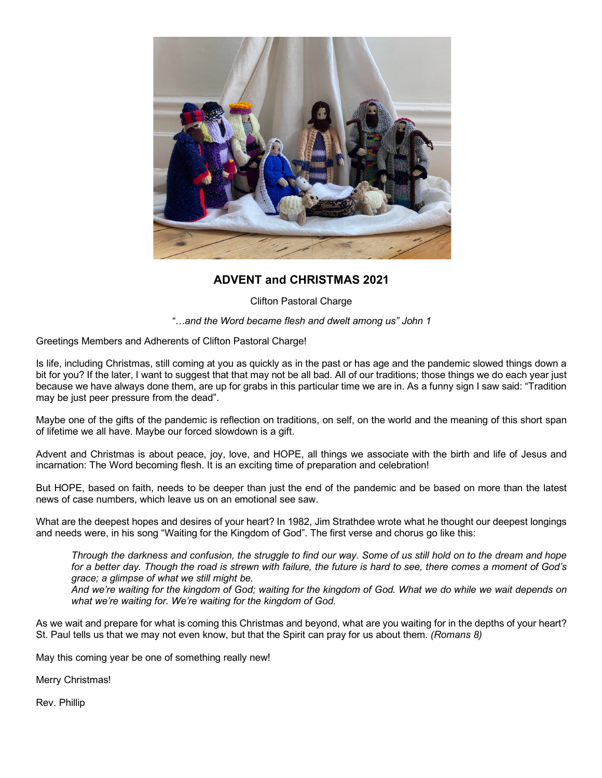

## **ADVENT and CHRISTMAS 2021**

Clifton Pastoral Charge

*"…and the Word became flesh and dwelt among us" John 1*

Greetings Members and Adherents of Clifton Pastoral Charge!

Is life, including Christmas, still coming at you as quickly as in the past or has age and the pandemic slowed things down a bit for you? If the later, I want to suggest that that may not be all bad. All of our traditions; those things we do each year just because we have always done them, are up for grabs in this particular time we are in. As a funny sign I saw said: "Tradition may be just peer pressure from the dead".

Maybe one of the gifts of the pandemic is reflection on traditions, on self, on the world and the meaning of this short span of lifetime we all have. Maybe our forced slowdown is a gift.

Advent and Christmas is about peace, joy, love, and HOPE, all things we associate with the birth and life of Jesus and incarnation: The Word becoming flesh. It is an exciting time of preparation and celebration!

But HOPE, based on faith, needs to be deeper than just the end of the pandemic and be based on more than the latest news of case numbers, which leave us on an emotional see saw.

What are the deepest hopes and desires of your heart? In 1982, Jim Strathdee wrote what he thought our deepest longings and needs were, in his song "Waiting for the Kingdom of God". The first verse and chorus go like this:

*Through the darkness and confusion, the struggle to find our way. Some of us still hold on to the dream and hope for a better day. Though the road is strewn with failure, the future is hard to see, there comes a moment of God's grace; a glimpse of what we still might be. And we're waiting for the kingdom of God; waiting for the kingdom of God. What we do while we wait depends on what we're waiting for. We're waiting for the kingdom of God.*

As we wait and prepare for what is coming this Christmas and beyond, what are you waiting for in the depths of your heart? St. Paul tells us that we may not even know, but that the Spirit can pray for us about them. *(Romans 8)*

May this coming year be one of something really new!

Merry Christmas!

Rev. Phillip